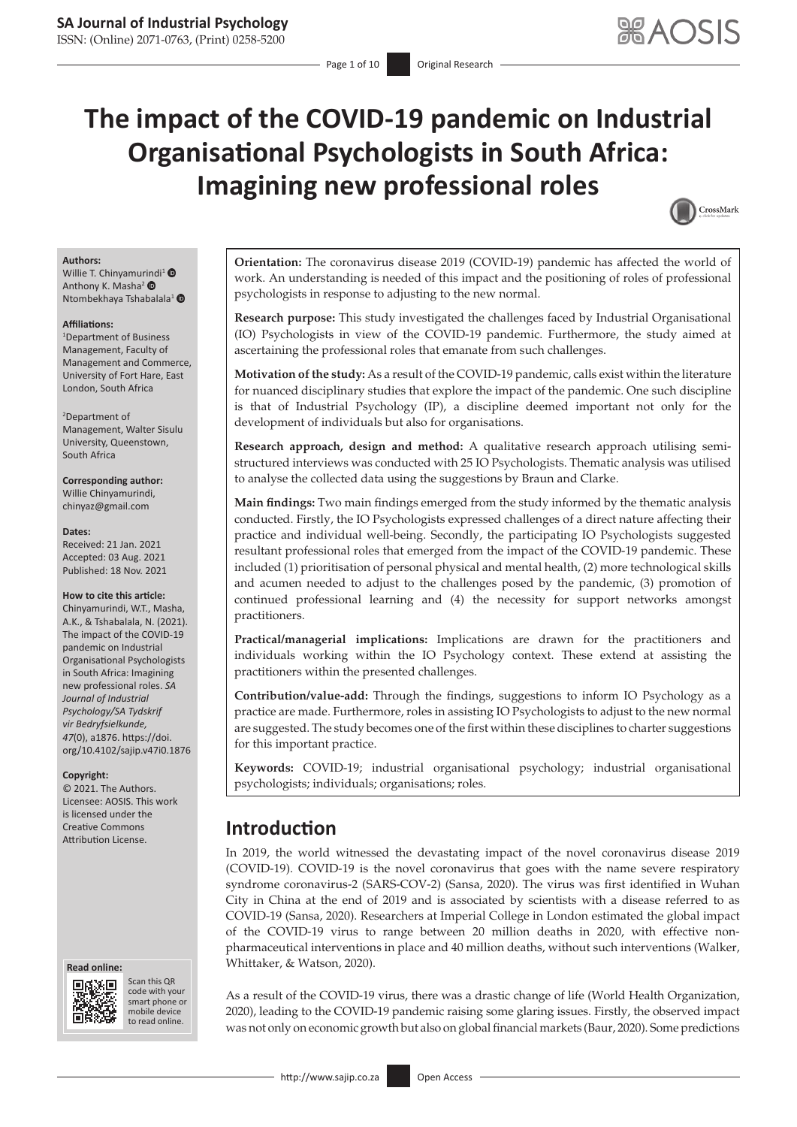# **The impact of the COVID-19 pandemic on Industrial Organisational Psychologists in South Africa: Imagining new professional roles**



#### **Authors:**

Willie T. Chinyamu[rind](https://orcid.org/0000-0001-9306-0042)i<sup>[1](http://orcid.org/0000-0002-4139-4224)</sup>  $\bullet$ Anthony K. Masha<sup>2</sup> Ntombekhaya Tshabalala<sup>[1](https://orcid.org/0000-0002-3395-931X)</sup>

#### **Affiliations:**

1 Department of Business Management, Faculty of Management and Commerce, University of Fort Hare, East London, South Africa

#### 2 Department of Management, Walter Sisulu University, Queenstown, South Africa

**Corresponding author:** Willie Chinyamurindi, [chinyaz@gmail.com](mailto:chinyaz@gmail.com)

#### **Dates:**

Received: 21 Jan. 2021 Accepted: 03 Aug. 2021 Published: 18 Nov. 2021

#### **How to cite this article:**

Chinyamurindi, W.T., Masha, A.K., & Tshabalala, N. (2021). The impact of the COVID-19 pandemic on Industrial Organisational Psychologists in South Africa: Imagining new professional roles. *SA Journal of Industrial Psychology/SA Tydskrif vir Bedryfsielkunde, 47*(0), a1876. [https://doi.](https://doi.org/10.4102/sajip.v47i0.1876) [org/10.4102/sajip.v47i0.1876](https://doi.org/10.4102/sajip.v47i0.1876)

#### **Copyright:**

© 2021. The Authors. Licensee: AOSIS. This work is licensed under the Creative Commons Attribution License.

#### **Read online: Read online:**



Scan this QR code with your Scan this QR<br>code with your<br>smart phone or<br>mobile device mobile device to read online. to read online.

**Orientation:** The coronavirus disease 2019 (COVID-19) pandemic has affected the world of work. An understanding is needed of this impact and the positioning of roles of professional psychologists in response to adjusting to the new normal.

**Research purpose:** This study investigated the challenges faced by Industrial Organisational (IO) Psychologists in view of the COVID-19 pandemic. Furthermore, the study aimed at ascertaining the professional roles that emanate from such challenges.

**Motivation of the study:** As a result of the COVID-19 pandemic, calls exist within the literature for nuanced disciplinary studies that explore the impact of the pandemic. One such discipline is that of Industrial Psychology (IP), a discipline deemed important not only for the development of individuals but also for organisations.

**Research approach, design and method:** A qualitative research approach utilising semistructured interviews was conducted with 25 IO Psychologists. Thematic analysis was utilised to analyse the collected data using the suggestions by Braun and Clarke.

**Main findings:** Two main findings emerged from the study informed by the thematic analysis conducted. Firstly, the IO Psychologists expressed challenges of a direct nature affecting their practice and individual well-being. Secondly, the participating IO Psychologists suggested resultant professional roles that emerged from the impact of the COVID-19 pandemic. These included (1) prioritisation of personal physical and mental health, (2) more technological skills and acumen needed to adjust to the challenges posed by the pandemic, (3) promotion of continued professional learning and (4) the necessity for support networks amongst practitioners.

**Practical/managerial implications:** Implications are drawn for the practitioners and individuals working within the IO Psychology context. These extend at assisting the practitioners within the presented challenges.

**Contribution/value-add:** Through the findings, suggestions to inform IO Psychology as a practice are made. Furthermore, roles in assisting IO Psychologists to adjust to the new normal are suggested. The study becomes one of the first within these disciplines to charter suggestions for this important practice.

**Keywords:** COVID-19; industrial organisational psychology; industrial organisational psychologists; individuals; organisations; roles.

# **Introduction**

In 2019, the world witnessed the devastating impact of the novel coronavirus disease 2019 (COVID-19). COVID-19 is the novel coronavirus that goes with the name severe respiratory syndrome coronavirus-2 (SARS-COV-2) (Sansa, 2020). The virus was first identified in Wuhan City in China at the end of 2019 and is associated by scientists with a disease referred to as COVID-19 (Sansa, 2020). Researchers at Imperial College in London estimated the global impact of the COVID-19 virus to range between 20 million deaths in 2020, with effective nonpharmaceutical interventions in place and 40 million deaths, without such interventions (Walker, Whittaker, & Watson, 2020).

As a result of the COVID-19 virus, there was a drastic change of life (World Health Organization, 2020), leading to the COVID-19 pandemic raising some glaring issues. Firstly, the observed impact was not only on economic growth but also on global financial markets (Baur, 2020). Some predictions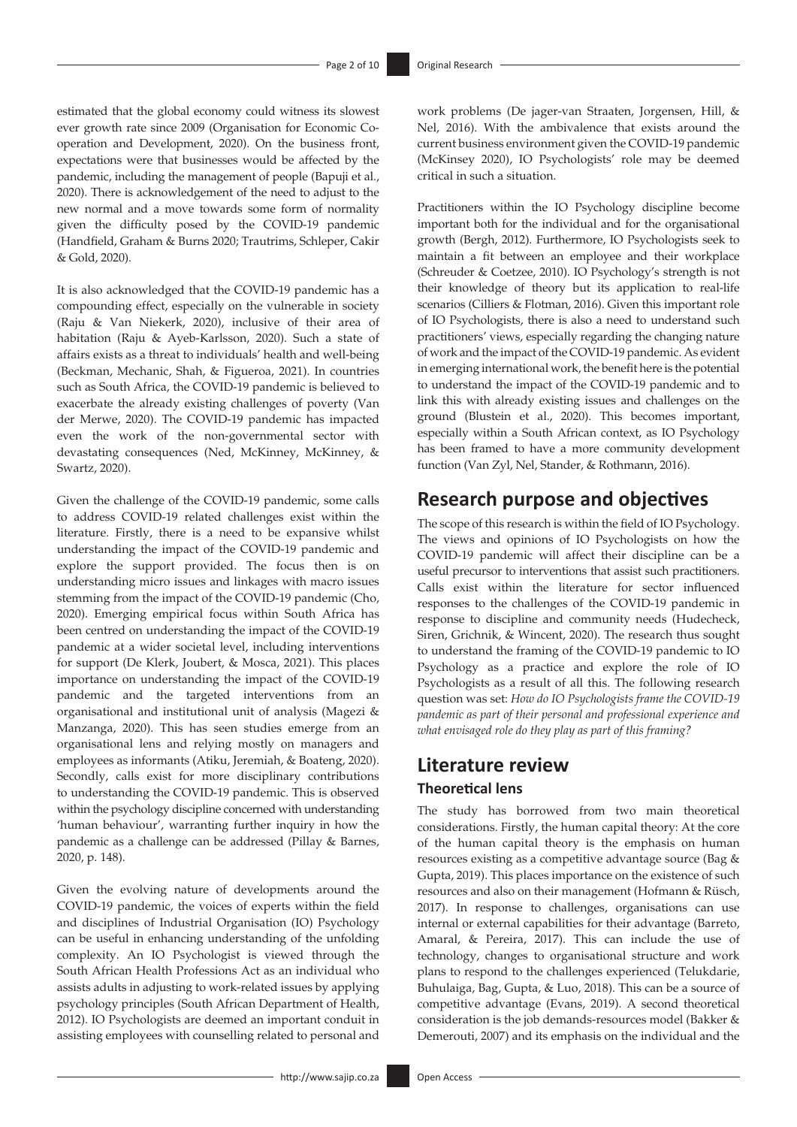estimated that the global economy could witness its slowest ever growth rate since 2009 (Organisation for Economic Cooperation and Development, 2020). On the business front, expectations were that businesses would be affected by the pandemic, including the management of people (Bapuji et al., 2020). There is acknowledgement of the need to adjust to the new normal and a move towards some form of normality given the difficulty posed by the COVID-19 pandemic (Handfield, Graham & Burns 2020; Trautrims, Schleper, Cakir & Gold, 2020).

It is also acknowledged that the COVID-19 pandemic has a compounding effect, especially on the vulnerable in society (Raju & Van Niekerk, 2020), inclusive of their area of habitation (Raju & Ayeb-Karlsson, 2020). Such a state of affairs exists as a threat to individuals' health and well-being (Beckman, Mechanic, Shah, & Figueroa, 2021). In countries such as South Africa, the COVID-19 pandemic is believed to exacerbate the already existing challenges of poverty (Van der Merwe, 2020). The COVID-19 pandemic has impacted even the work of the non-governmental sector with devastating consequences (Ned, McKinney, McKinney, & Swartz, 2020).

Given the challenge of the COVID-19 pandemic, some calls to address COVID-19 related challenges exist within the literature. Firstly, there is a need to be expansive whilst understanding the impact of the COVID-19 pandemic and explore the support provided. The focus then is on understanding micro issues and linkages with macro issues stemming from the impact of the COVID-19 pandemic (Cho, 2020). Emerging empirical focus within South Africa has been centred on understanding the impact of the COVID-19 pandemic at a wider societal level, including interventions for support (De Klerk, Joubert, & Mosca, 2021). This places importance on understanding the impact of the COVID-19 pandemic and the targeted interventions from an organisational and institutional unit of analysis (Magezi & Manzanga, 2020). This has seen studies emerge from an organisational lens and relying mostly on managers and employees as informants (Atiku, Jeremiah, & Boateng, 2020). Secondly, calls exist for more disciplinary contributions to understanding the COVID-19 pandemic. This is observed within the psychology discipline concerned with understanding 'human behaviour', warranting further inquiry in how the pandemic as a challenge can be addressed (Pillay & Barnes, 2020, p. 148).

Given the evolving nature of developments around the COVID-19 pandemic, the voices of experts within the field and disciplines of Industrial Organisation (IO) Psychology can be useful in enhancing understanding of the unfolding complexity. An IO Psychologist is viewed through the South African Health Professions Act as an individual who assists adults in adjusting to work-related issues by applying psychology principles (South African Department of Health, 2012). IO Psychologists are deemed an important conduit in assisting employees with counselling related to personal and

work problems (De jager-van Straaten, Jorgensen, Hill, & Nel, 2016). With the ambivalence that exists around the current business environment given the COVID-19 pandemic (McKinsey 2020), IO Psychologists' role may be deemed critical in such a situation.

Practitioners within the IO Psychology discipline become important both for the individual and for the organisational growth (Bergh, 2012). Furthermore, IO Psychologists seek to maintain a fit between an employee and their workplace (Schreuder & Coetzee, 2010). IO Psychology's strength is not their knowledge of theory but its application to real-life scenarios (Cilliers & Flotman, 2016). Given this important role of IO Psychologists, there is also a need to understand such practitioners' views, especially regarding the changing nature of work and the impact of the COVID-19 pandemic. As evident in emerging international work, the benefit here is the potential to understand the impact of the COVID-19 pandemic and to link this with already existing issues and challenges on the ground (Blustein et al., 2020). This becomes important, especially within a South African context, as IO Psychology has been framed to have a more community development function (Van Zyl, Nel, Stander, & Rothmann, 2016).

# **Research purpose and objectives**

The scope of this research is within the field of IO Psychology. The views and opinions of IO Psychologists on how the COVID-19 pandemic will affect their discipline can be a useful precursor to interventions that assist such practitioners. Calls exist within the literature for sector influenced responses to the challenges of the COVID-19 pandemic in response to discipline and community needs (Hudecheck, Siren, Grichnik, & Wincent, 2020). The research thus sought to understand the framing of the COVID-19 pandemic to IO Psychology as a practice and explore the role of IO Psychologists as a result of all this. The following research question was set: *How do IO Psychologists frame the COVID-19 pandemic as part of their personal and professional experience and what envisaged role do they play as part of this framing?*

# **Literature review Theoretical lens**

The study has borrowed from two main theoretical considerations. Firstly, the human capital theory: At the core of the human capital theory is the emphasis on human resources existing as a competitive advantage source (Bag & Gupta, 2019). This places importance on the existence of such resources and also on their management (Hofmann & Rüsch, 2017). In response to challenges, organisations can use internal or external capabilities for their advantage (Barreto, Amaral, & Pereira, 2017). This can include the use of technology, changes to organisational structure and work plans to respond to the challenges experienced (Telukdarie, Buhulaiga, Bag, Gupta, & Luo, 2018). This can be a source of competitive advantage (Evans, 2019). A second theoretical consideration is the job demands-resources model (Bakker & Demerouti, 2007) and its emphasis on the individual and the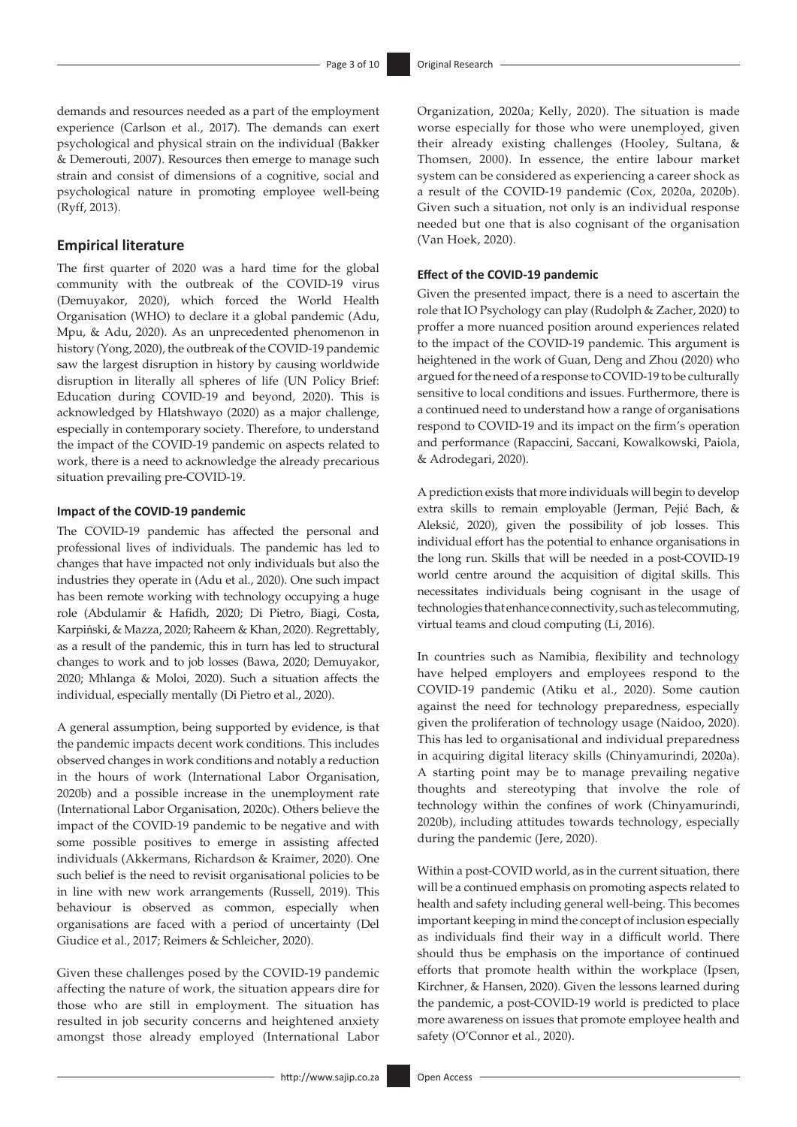demands and resources needed as a part of the employment experience (Carlson et al., 2017). The demands can exert psychological and physical strain on the individual (Bakker & Demerouti, 2007). Resources then emerge to manage such strain and consist of dimensions of a cognitive, social and psychological nature in promoting employee well-being (Ryff, 2013).

### **Empirical literature**

The first quarter of 2020 was a hard time for the global community with the outbreak of the COVID-19 virus (Demuyakor, 2020), which forced the World Health Organisation (WHO) to declare it a global pandemic (Adu, Mpu, & Adu, 2020). As an unprecedented phenomenon in history (Yong, 2020), the outbreak of the COVID-19 pandemic saw the largest disruption in history by causing worldwide disruption in literally all spheres of life (UN Policy Brief: Education during COVID-19 and beyond, 2020). This is acknowledged by Hlatshwayo (2020) as a major challenge, especially in contemporary society. Therefore, to understand the impact of the COVID-19 pandemic on aspects related to work, there is a need to acknowledge the already precarious situation prevailing pre-COVID-19.

#### **Impact of the COVID-19 pandemic**

The COVID-19 pandemic has affected the personal and professional lives of individuals. The pandemic has led to changes that have impacted not only individuals but also the industries they operate in (Adu et al., 2020). One such impact has been remote working with technology occupying a huge role (Abdulamir & Hafidh, 2020; Di Pietro, Biagi, Costa, Karpiński, & Mazza, 2020; Raheem & Khan, 2020). Regrettably, as a result of the pandemic, this in turn has led to structural changes to work and to job losses (Bawa, 2020; Demuyakor, 2020; Mhlanga & Moloi, 2020). Such a situation affects the individual, especially mentally (Di Pietro et al., 2020).

A general assumption, being supported by evidence, is that the pandemic impacts decent work conditions. This includes observed changes in work conditions and notably a reduction in the hours of work (International Labor Organisation, 2020b) and a possible increase in the unemployment rate (International Labor Organisation, 2020c). Others believe the impact of the COVID-19 pandemic to be negative and with some possible positives to emerge in assisting affected individuals (Akkermans, Richardson & Kraimer, 2020). One such belief is the need to revisit organisational policies to be in line with new work arrangements (Russell, 2019). This behaviour is observed as common, especially when organisations are faced with a period of uncertainty (Del Giudice et al., 2017; Reimers & Schleicher, 2020).

Given these challenges posed by the COVID-19 pandemic affecting the nature of work, the situation appears dire for those who are still in employment. The situation has resulted in job security concerns and heightened anxiety amongst those already employed (International Labor Organization, 2020a; Kelly, 2020). The situation is made worse especially for those who were unemployed, given their already existing challenges (Hooley, Sultana, & Thomsen, 2000). In essence, the entire labour market system can be considered as experiencing a career shock as a result of the COVID-19 pandemic (Cox, 2020a, 2020b). Given such a situation, not only is an individual response needed but one that is also cognisant of the organisation (Van Hoek, 2020).

#### **Effect of the COVID-19 pandemic**

Given the presented impact, there is a need to ascertain the role that IO Psychology can play (Rudolph & Zacher, 2020) to proffer a more nuanced position around experiences related to the impact of the COVID-19 pandemic. This argument is heightened in the work of Guan, Deng and Zhou (2020) who argued for the need of a response to COVID-19 to be culturally sensitive to local conditions and issues. Furthermore, there is a continued need to understand how a range of organisations respond to COVID-19 and its impact on the firm's operation and performance (Rapaccini, Saccani, Kowalkowski, Paiola, & Adrodegari, 2020).

A prediction exists that more individuals will begin to develop extra skills to remain employable (Jerman, Pejić Bach, & Aleksić, 2020), given the possibility of job losses. This individual effort has the potential to enhance organisations in the long run. Skills that will be needed in a post-COVID-19 world centre around the acquisition of digital skills. This necessitates individuals being cognisant in the usage of technologies that enhance connectivity, such as telecommuting, virtual teams and cloud computing (Li, 2016).

In countries such as Namibia, flexibility and technology have helped employers and employees respond to the COVID-19 pandemic (Atiku et al., 2020). Some caution against the need for technology preparedness, especially given the proliferation of technology usage (Naidoo, 2020). This has led to organisational and individual preparedness in acquiring digital literacy skills (Chinyamurindi, 2020a). A starting point may be to manage prevailing negative thoughts and stereotyping that involve the role of technology within the confines of work (Chinyamurindi, 2020b), including attitudes towards technology, especially during the pandemic (Jere, 2020).

Within a post-COVID world, as in the current situation, there will be a continued emphasis on promoting aspects related to health and safety including general well-being. This becomes important keeping in mind the concept of inclusion especially as individuals find their way in a difficult world. There should thus be emphasis on the importance of continued efforts that promote health within the workplace (Ipsen, Kirchner, & Hansen, 2020). Given the lessons learned during the pandemic, a post-COVID-19 world is predicted to place more awareness on issues that promote employee health and safety (O'Connor et al., 2020).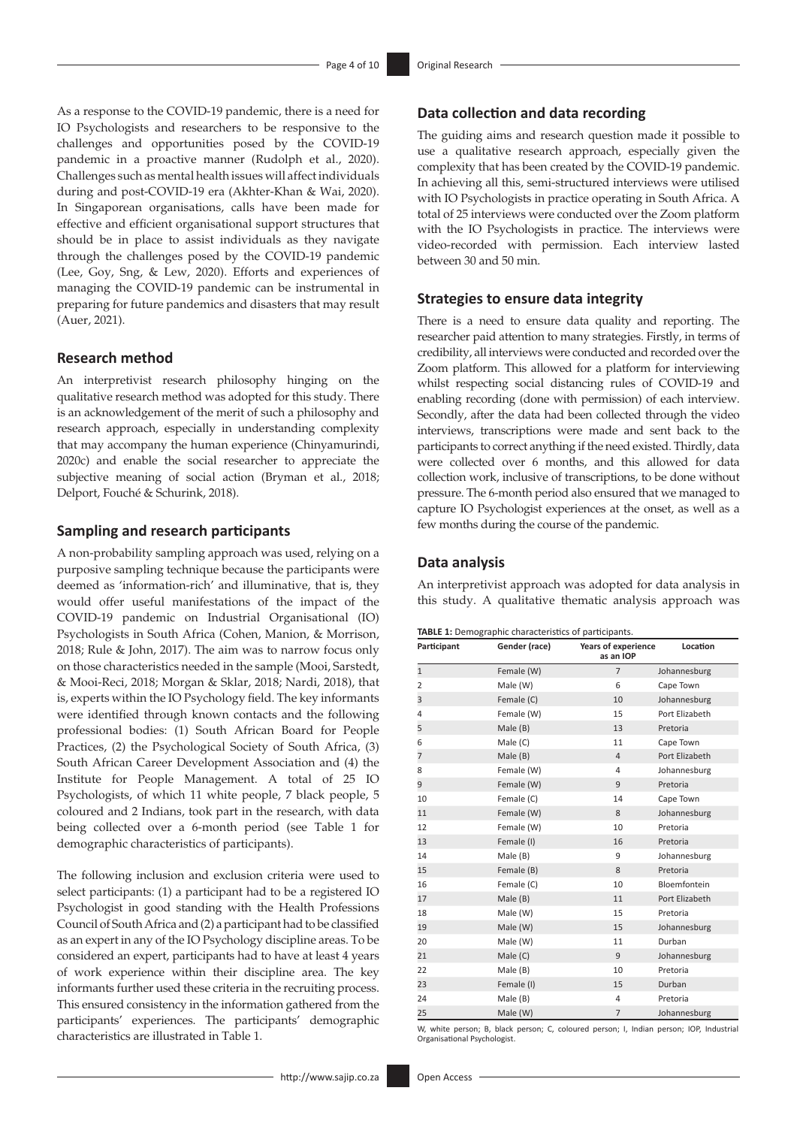As a response to the COVID-19 pandemic, there is a need for IO Psychologists and researchers to be responsive to the challenges and opportunities posed by the COVID-19 pandemic in a proactive manner (Rudolph et al., 2020). Challenges such as mental health issues will affect individuals during and post-COVID-19 era (Akhter-Khan & Wai, 2020). In Singaporean organisations, calls have been made for effective and efficient organisational support structures that should be in place to assist individuals as they navigate through the challenges posed by the COVID-19 pandemic (Lee, Goy, Sng, & Lew, 2020). Efforts and experiences of managing the COVID-19 pandemic can be instrumental in preparing for future pandemics and disasters that may result (Auer, 2021).

### **Research method**

An interpretivist research philosophy hinging on the qualitative research method was adopted for this study. There is an acknowledgement of the merit of such a philosophy and research approach, especially in understanding complexity that may accompany the human experience (Chinyamurindi, 2020c) and enable the social researcher to appreciate the subjective meaning of social action (Bryman et al., 2018; Delport, Fouché & Schurink, 2018).

### **Sampling and research participants**

A non-probability sampling approach was used, relying on a purposive sampling technique because the participants were deemed as 'information-rich' and illuminative, that is, they would offer useful manifestations of the impact of the COVID-19 pandemic on Industrial Organisational (IO) Psychologists in South Africa (Cohen, Manion, & Morrison, 2018; Rule & John, 2017). The aim was to narrow focus only on those characteristics needed in the sample (Mooi, Sarstedt, & Mooi-Reci, 2018; Morgan & Sklar, 2018; Nardi, 2018), that is, experts within the IO Psychology field. The key informants were identified through known contacts and the following professional bodies: (1) South African Board for People Practices, (2) the Psychological Society of South Africa, (3) South African Career Development Association and (4) the Institute for People Management. A total of 25 IO Psychologists, of which 11 white people, 7 black people, 5 coloured and 2 Indians, took part in the research, with data being collected over a 6-month period (see Table 1 for demographic characteristics of participants).

The following inclusion and exclusion criteria were used to select participants: (1) a participant had to be a registered IO Psychologist in good standing with the Health Professions Council of South Africa and (2) a participant had to be classified as an expert in any of the IO Psychology discipline areas. To be considered an expert, participants had to have at least 4 years of work experience within their discipline area. The key informants further used these criteria in the recruiting process. This ensured consistency in the information gathered from the participants' experiences. The participants' demographic characteristics are illustrated in Table 1.

### **Data collection and data recording**

The guiding aims and research question made it possible to use a qualitative research approach, especially given the complexity that has been created by the COVID-19 pandemic. In achieving all this, semi-structured interviews were utilised with IO Psychologists in practice operating in South Africa. A total of 25 interviews were conducted over the Zoom platform with the IO Psychologists in practice. The interviews were video-recorded with permission. Each interview lasted between 30 and 50 min.

### **Strategies to ensure data integrity**

There is a need to ensure data quality and reporting. The researcher paid attention to many strategies. Firstly, in terms of credibility, all interviews were conducted and recorded over the Zoom platform. This allowed for a platform for interviewing whilst respecting social distancing rules of COVID-19 and enabling recording (done with permission) of each interview. Secondly, after the data had been collected through the video interviews, transcriptions were made and sent back to the participants to correct anything if the need existed. Thirdly, data were collected over 6 months, and this allowed for data collection work, inclusive of transcriptions, to be done without pressure. The 6-month period also ensured that we managed to capture IO Psychologist experiences at the onset, as well as a few months during the course of the pandemic.

### **Data analysis**

An interpretivist approach was adopted for data analysis in this study. A qualitative thematic analysis approach was

| Participant    | Gender (race) | Years of experience<br>as an IOP | Location       |
|----------------|---------------|----------------------------------|----------------|
| $\mathbf{1}$   | Female (W)    | $\overline{7}$                   | Johannesburg   |
| $\overline{2}$ | Male (W)      | 6                                | Cape Town      |
| 3              | Female (C)    | 10                               | Johannesburg   |
| 4              | Female (W)    | 15                               | Port Elizabeth |
| 5              | Male (B)      | 13                               | Pretoria       |
| 6              | Male (C)      | 11                               | Cape Town      |
| 7              | Male (B)      | $\overline{4}$                   | Port Elizabeth |
| 8              | Female (W)    | 4                                | Johannesburg   |
| 9              | Female (W)    | 9                                | Pretoria       |
| 10             | Female (C)    | 14                               | Cape Town      |
| 11             | Female (W)    | 8                                | Johannesburg   |
| 12             | Female (W)    | 10                               | Pretoria       |
| 13             | Female (I)    | 16                               | Pretoria       |
| 14             | Male (B)      | 9                                | Johannesburg   |
| 15             | Female (B)    | 8                                | Pretoria       |
| 16             | Female (C)    | 10                               | Bloemfontein   |
| 17             | Male (B)      | 11                               | Port Elizabeth |
| 18             | Male (W)      | 15                               | Pretoria       |
| 19             | Male (W)      | 15                               | Johannesburg   |
| 20             | Male (W)      | 11                               | Durban         |
| 21             | Male (C)      | 9                                | Johannesburg   |
| 22             | Male (B)      | 10                               | Pretoria       |
| 23             | Female (I)    | 15                               | Durban         |
| 24             | Male (B)      | 4                                | Pretoria       |
| 25             | Male (W)      | $\overline{7}$                   | Johannesburg   |

W, white person; B, black person; C, coloured person; I, Indian person; IOP, Industrial Organisational Psychologist.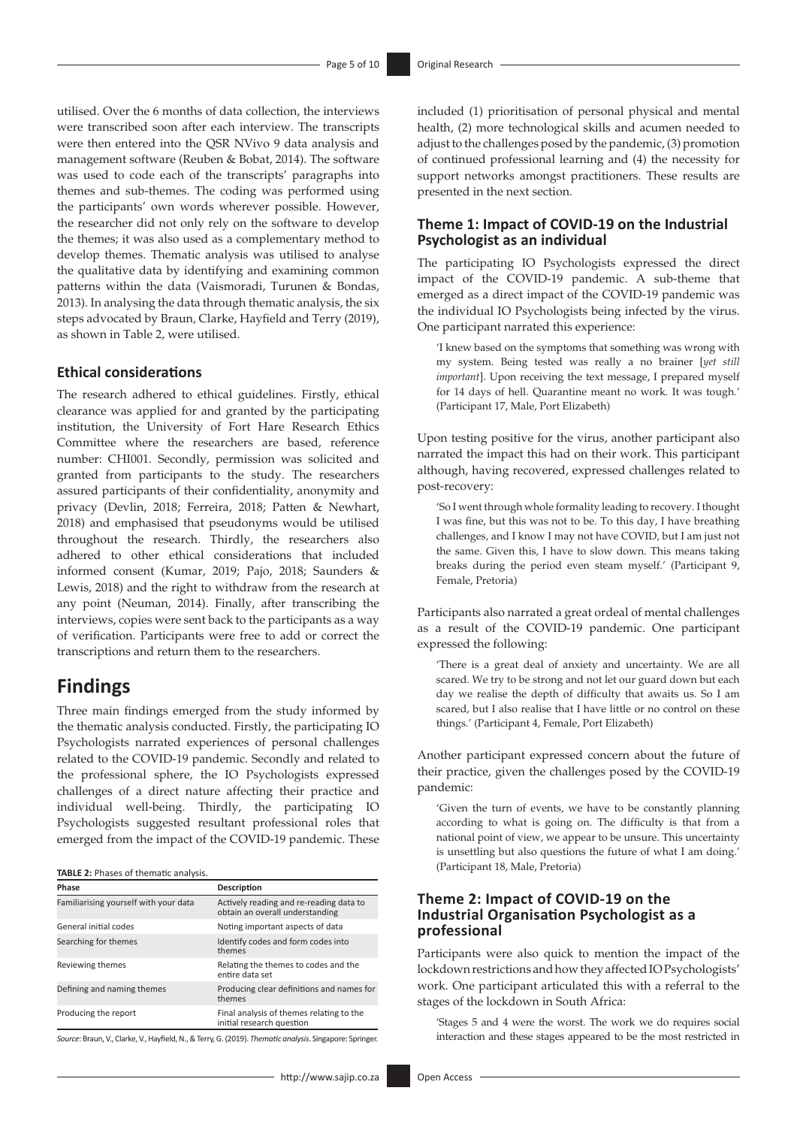utilised. Over the 6 months of data collection, the interviews were transcribed soon after each interview. The transcripts were then entered into the QSR NVivo 9 data analysis and management software (Reuben & Bobat, 2014). The software was used to code each of the transcripts' paragraphs into themes and sub-themes. The coding was performed using the participants' own words wherever possible. However, the researcher did not only rely on the software to develop the themes; it was also used as a complementary method to develop themes. Thematic analysis was utilised to analyse the qualitative data by identifying and examining common patterns within the data (Vaismoradi, Turunen & Bondas, 2013). In analysing the data through thematic analysis, the six steps advocated by Braun, Clarke, Hayfield and Terry (2019), as shown in Table 2, were utilised.

### **Ethical considerations**

The research adhered to ethical guidelines. Firstly, ethical clearance was applied for and granted by the participating institution, the University of Fort Hare Research Ethics Committee where the researchers are based, reference number: CHI001. Secondly, permission was solicited and granted from participants to the study. The researchers assured participants of their confidentiality, anonymity and privacy (Devlin, 2018; Ferreira, 2018; Patten & Newhart, 2018) and emphasised that pseudonyms would be utilised throughout the research. Thirdly, the researchers also adhered to other ethical considerations that included informed consent (Kumar, 2019; Pajo, 2018; Saunders & Lewis, 2018) and the right to withdraw from the research at any point (Neuman, 2014). Finally, after transcribing the interviews, copies were sent back to the participants as a way of verification. Participants were free to add or correct the transcriptions and return them to the researchers.

## **Findings**

Three main findings emerged from the study informed by the thematic analysis conducted. Firstly, the participating IO Psychologists narrated experiences of personal challenges related to the COVID-19 pandemic. Secondly and related to the professional sphere, the IO Psychologists expressed challenges of a direct nature affecting their practice and individual well-being. Thirdly, the participating IO Psychologists suggested resultant professional roles that emerged from the impact of the COVID-19 pandemic. These

**TABLE 2:** Phases of thematic analysis.

| Phase                                 | Description                                                                |  |
|---------------------------------------|----------------------------------------------------------------------------|--|
| Familiarising yourself with your data | Actively reading and re-reading data to<br>obtain an overall understanding |  |
| General initial codes                 | Noting important aspects of data                                           |  |
| Searching for themes                  | Identify codes and form codes into<br>themes                               |  |
| Reviewing themes                      | Relating the themes to codes and the<br>entire data set                    |  |
| Defining and naming themes            | Producing clear definitions and names for<br>themes                        |  |
| Producing the report                  | Final analysis of themes relating to the<br>initial research question      |  |

*Source*: Braun, V., Clarke, V., Hayfield, N., & Terry, G. (2019). *Thematic analysis*. Singapore: Springer.

included (1) prioritisation of personal physical and mental health, (2) more technological skills and acumen needed to adjust to the challenges posed by the pandemic, (3) promotion of continued professional learning and (4) the necessity for support networks amongst practitioners. These results are presented in the next section.

### **Theme 1: Impact of COVID-19 on the Industrial Psychologist as an individual**

The participating IO Psychologists expressed the direct impact of the COVID-19 pandemic. A sub-theme that emerged as a direct impact of the COVID-19 pandemic was the individual IO Psychologists being infected by the virus. One participant narrated this experience:

'I knew based on the symptoms that something was wrong with my system. Being tested was really a no brainer [*yet still important*]. Upon receiving the text message, I prepared myself for 14 days of hell. Quarantine meant no work. It was tough.' (Participant 17, Male, Port Elizabeth)

Upon testing positive for the virus, another participant also narrated the impact this had on their work. This participant although, having recovered, expressed challenges related to post-recovery:

'So I went through whole formality leading to recovery. I thought I was fine, but this was not to be. To this day, I have breathing challenges, and I know I may not have COVID, but I am just not the same. Given this, I have to slow down. This means taking breaks during the period even steam myself.' (Participant 9, Female, Pretoria)

Participants also narrated a great ordeal of mental challenges as a result of the COVID-19 pandemic. One participant expressed the following:

'There is a great deal of anxiety and uncertainty. We are all scared. We try to be strong and not let our guard down but each day we realise the depth of difficulty that awaits us. So I am scared, but I also realise that I have little or no control on these things.' (Participant 4, Female, Port Elizabeth)

Another participant expressed concern about the future of their practice, given the challenges posed by the COVID-19 pandemic:

'Given the turn of events, we have to be constantly planning according to what is going on. The difficulty is that from a national point of view, we appear to be unsure. This uncertainty is unsettling but also questions the future of what I am doing.' (Participant 18, Male, Pretoria)

### **Theme 2: Impact of COVID-19 on the Industrial Organisation Psychologist as a professional**

Participants were also quick to mention the impact of the lockdown restrictions and how they affected IO Psychologists' work. One participant articulated this with a referral to the stages of the lockdown in South Africa:

'Stages 5 and 4 were the worst. The work we do requires social interaction and these stages appeared to be the most restricted in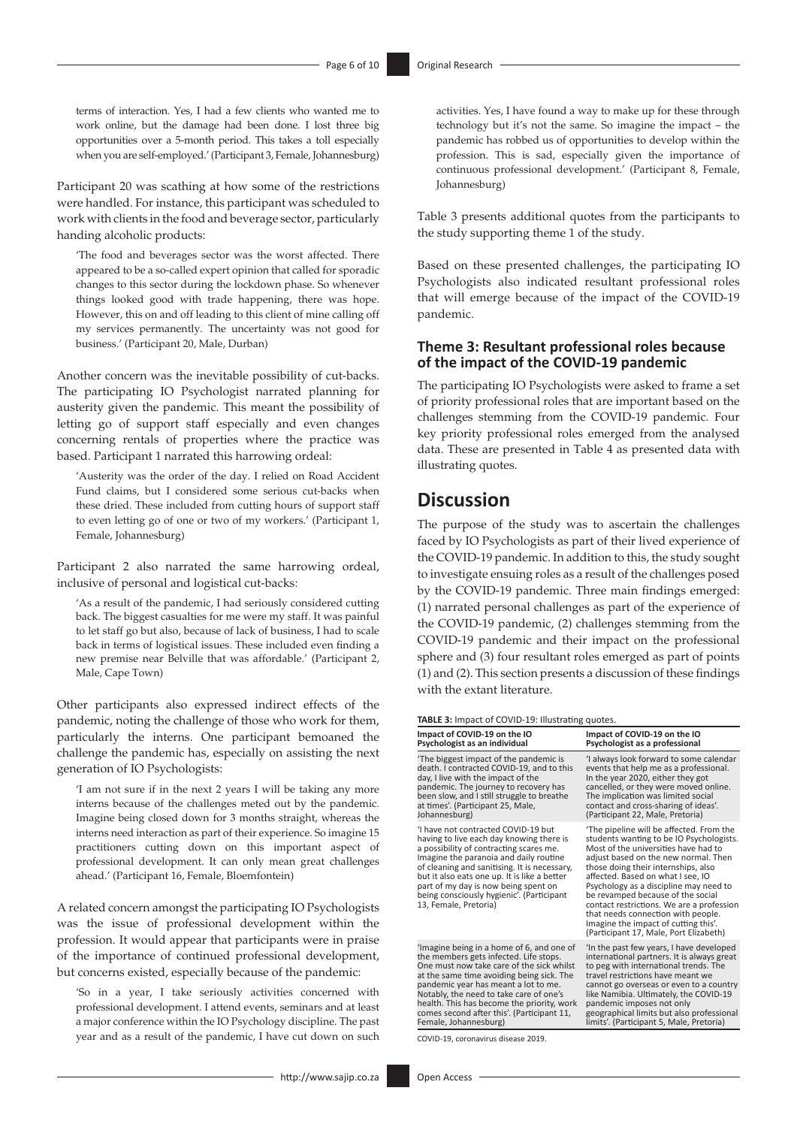terms of interaction. Yes, I had a few clients who wanted me to work online, but the damage had been done. I lost three big opportunities over a 5-month period. This takes a toll especially when you are self-employed.' (Participant 3, Female, Johannesburg)

Participant 20 was scathing at how some of the restrictions were handled. For instance, this participant was scheduled to work with clients in the food and beverage sector, particularly handing alcoholic products:

'The food and beverages sector was the worst affected. There appeared to be a so-called expert opinion that called for sporadic changes to this sector during the lockdown phase. So whenever things looked good with trade happening, there was hope. However, this on and off leading to this client of mine calling off my services permanently. The uncertainty was not good for business.' (Participant 20, Male, Durban)

Another concern was the inevitable possibility of cut-backs. The participating IO Psychologist narrated planning for austerity given the pandemic. This meant the possibility of letting go of support staff especially and even changes concerning rentals of properties where the practice was based. Participant 1 narrated this harrowing ordeal:

'Austerity was the order of the day. I relied on Road Accident Fund claims, but I considered some serious cut-backs when these dried. These included from cutting hours of support staff to even letting go of one or two of my workers.' (Participant 1, Female, Johannesburg)

Participant 2 also narrated the same harrowing ordeal, inclusive of personal and logistical cut-backs:

'As a result of the pandemic, I had seriously considered cutting back. The biggest casualties for me were my staff. It was painful to let staff go but also, because of lack of business, I had to scale back in terms of logistical issues. These included even finding a new premise near Belville that was affordable.' (Participant 2, Male, Cape Town)

Other participants also expressed indirect effects of the pandemic, noting the challenge of those who work for them, particularly the interns. One participant bemoaned the challenge the pandemic has, especially on assisting the next generation of IO Psychologists:

'I am not sure if in the next 2 years I will be taking any more interns because of the challenges meted out by the pandemic. Imagine being closed down for 3 months straight, whereas the interns need interaction as part of their experience. So imagine 15 practitioners cutting down on this important aspect of professional development. It can only mean great challenges ahead.' (Participant 16, Female, Bloemfontein)

A related concern amongst the participating IO Psychologists was the issue of professional development within the profession. It would appear that participants were in praise of the importance of continued professional development, but concerns existed, especially because of the pandemic:

'So in a year, I take seriously activities concerned with professional development. I attend events, seminars and at least a major conference within the IO Psychology discipline. The past year and as a result of the pandemic, I have cut down on such

activities. Yes, I have found a way to make up for these through technology but it's not the same. So imagine the impact – the pandemic has robbed us of opportunities to develop within the profession. This is sad, especially given the importance of continuous professional development.' (Participant 8, Female, Johannesburg)

Table 3 presents additional quotes from the participants to the study supporting theme 1 of the study.

Based on these presented challenges, the participating IO Psychologists also indicated resultant professional roles that will emerge because of the impact of the COVID-19 pandemic.

### **Theme 3: Resultant professional roles because of the impact of the COVID-19 pandemic**

The participating IO Psychologists were asked to frame a set of priority professional roles that are important based on the challenges stemming from the COVID-19 pandemic. Four key priority professional roles emerged from the analysed data. These are presented in Table 4 as presented data with illustrating quotes.

# **Discussion**

The purpose of the study was to ascertain the challenges faced by IO Psychologists as part of their lived experience of the COVID-19 pandemic. In addition to this, the study sought to investigate ensuing roles as a result of the challenges posed by the COVID-19 pandemic. Three main findings emerged: (1) narrated personal challenges as part of the experience of the COVID-19 pandemic, (2) challenges stemming from the COVID-19 pandemic and their impact on the professional sphere and (3) four resultant roles emerged as part of points (1) and (2). This section presents a discussion of these findings with the extant literature.

**Impact of COVID-19 on the IO** 

limits'. (Participant 5, Male, Pretoria)

#### **TABLE 3:** Impact of COVID-19: Illustrating quotes.

| Impact of COVID-19 on the IO                                                                                                                                                                                                                                                                                                                                                       | Impact of COVID-19 on the IO                                                                                                                                                                                                                                                                                                                                                                                                                                                                         |
|------------------------------------------------------------------------------------------------------------------------------------------------------------------------------------------------------------------------------------------------------------------------------------------------------------------------------------------------------------------------------------|------------------------------------------------------------------------------------------------------------------------------------------------------------------------------------------------------------------------------------------------------------------------------------------------------------------------------------------------------------------------------------------------------------------------------------------------------------------------------------------------------|
| Psychologist as an individual                                                                                                                                                                                                                                                                                                                                                      | Psychologist as a professional                                                                                                                                                                                                                                                                                                                                                                                                                                                                       |
| The biggest impact of the pandemic is                                                                                                                                                                                                                                                                                                                                              | 'I always look forward to some calendar                                                                                                                                                                                                                                                                                                                                                                                                                                                              |
| death. I contracted COVID-19, and to this                                                                                                                                                                                                                                                                                                                                          | events that help me as a professional.                                                                                                                                                                                                                                                                                                                                                                                                                                                               |
| day, I live with the impact of the                                                                                                                                                                                                                                                                                                                                                 | In the year 2020, either they got                                                                                                                                                                                                                                                                                                                                                                                                                                                                    |
| pandemic. The journey to recovery has                                                                                                                                                                                                                                                                                                                                              | cancelled, or they were moved online.                                                                                                                                                                                                                                                                                                                                                                                                                                                                |
| been slow, and I still struggle to breathe                                                                                                                                                                                                                                                                                                                                         | The implication was limited social                                                                                                                                                                                                                                                                                                                                                                                                                                                                   |
| at times'. (Participant 25, Male,                                                                                                                                                                                                                                                                                                                                                  | contact and cross-sharing of ideas'.                                                                                                                                                                                                                                                                                                                                                                                                                                                                 |
| Johannesburg)                                                                                                                                                                                                                                                                                                                                                                      | (Participant 22, Male, Pretoria)                                                                                                                                                                                                                                                                                                                                                                                                                                                                     |
| 'I have not contracted COVID-19 but<br>having to live each day knowing there is<br>a possibility of contracting scares me.<br>Imagine the paranoia and daily routine<br>of cleaning and sanitising. It is necessary,<br>but it also eats one up. It is like a better<br>part of my day is now being spent on<br>being consciously hygienic'. (Participant<br>13, Female, Pretoria) | 'The pipeline will be affected. From the<br>students wanting to be IO Psychologists.<br>Most of the universities have had to<br>adjust based on the new normal. Then<br>those doing their internships, also<br>affected. Based on what I see, IO<br>Psychology as a discipline may need to<br>be revamped because of the social<br>contact restrictions. We are a profession<br>that needs connection with people.<br>Imagine the impact of cutting this'.<br>(Participant 17, Male, Port Elizabeth) |
| 'Imagine being in a home of 6, and one of                                                                                                                                                                                                                                                                                                                                          | In the past few years, I have developed                                                                                                                                                                                                                                                                                                                                                                                                                                                              |
| the members gets infected. Life stops.                                                                                                                                                                                                                                                                                                                                             | international partners. It is always great                                                                                                                                                                                                                                                                                                                                                                                                                                                           |
| One must now take care of the sick whilst                                                                                                                                                                                                                                                                                                                                          | to peg with international trends. The                                                                                                                                                                                                                                                                                                                                                                                                                                                                |
| at the same time avoiding being sick. The                                                                                                                                                                                                                                                                                                                                          | travel restrictions have meant we                                                                                                                                                                                                                                                                                                                                                                                                                                                                    |
| pandemic year has meant a lot to me.                                                                                                                                                                                                                                                                                                                                               | cannot go overseas or even to a country                                                                                                                                                                                                                                                                                                                                                                                                                                                              |
| Notably, the need to take care of one's                                                                                                                                                                                                                                                                                                                                            | like Namibia. Ultimately, the COVID-19                                                                                                                                                                                                                                                                                                                                                                                                                                                               |
| health. This has become the priority, work                                                                                                                                                                                                                                                                                                                                         | pandemic imposes not only                                                                                                                                                                                                                                                                                                                                                                                                                                                                            |
| comes second after this'. (Participant 11,                                                                                                                                                                                                                                                                                                                                         | geographical limits but also professional                                                                                                                                                                                                                                                                                                                                                                                                                                                            |

<http://www.sajip.co.za> Open Access

Female, Johannesburg)

COVID-19, coronavirus disease 2019.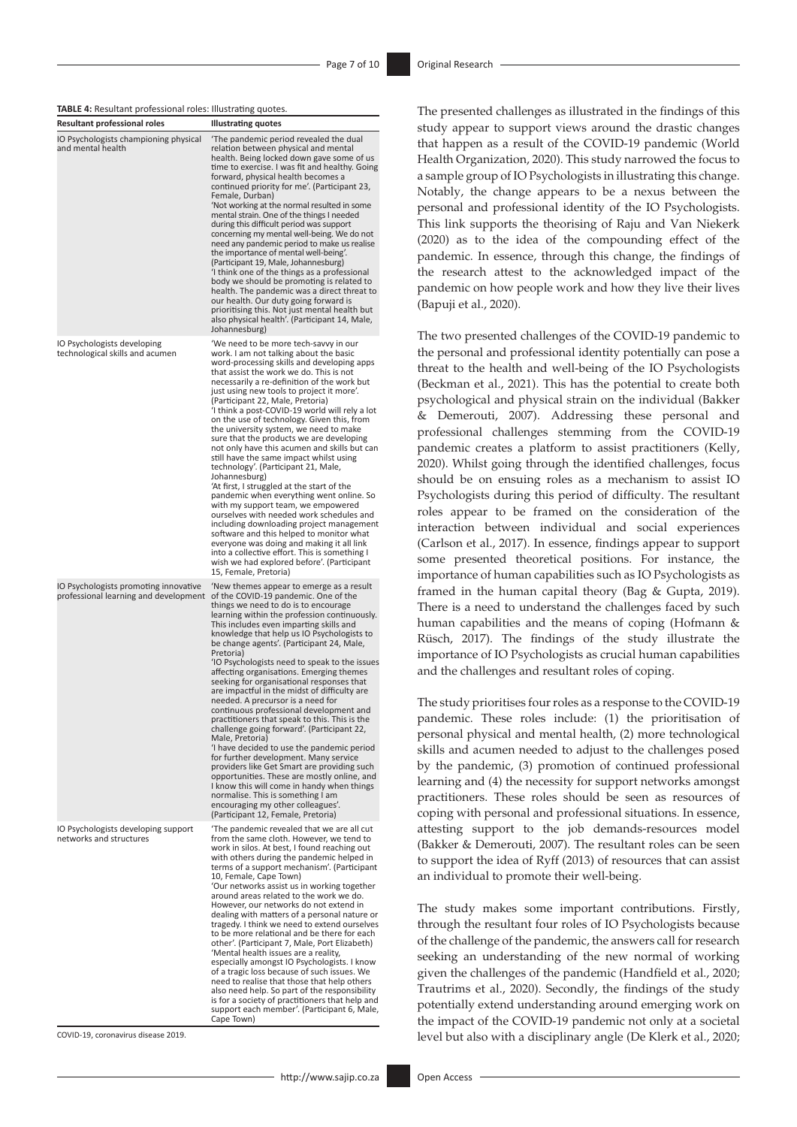| TABLE 4: Resultant professional roles: Illustrating quotes. |  |
|-------------------------------------------------------------|--|
|-------------------------------------------------------------|--|

| <b>Resultant professional roles</b>                                            | -ם -<br><b>Illustrating quotes</b>                                                                                                                                                                                                                                                                                                                                                                                                                                                                                                                                                                                                                                                                                                                                                                                                                                                                                                                                                                                                                                                         |
|--------------------------------------------------------------------------------|--------------------------------------------------------------------------------------------------------------------------------------------------------------------------------------------------------------------------------------------------------------------------------------------------------------------------------------------------------------------------------------------------------------------------------------------------------------------------------------------------------------------------------------------------------------------------------------------------------------------------------------------------------------------------------------------------------------------------------------------------------------------------------------------------------------------------------------------------------------------------------------------------------------------------------------------------------------------------------------------------------------------------------------------------------------------------------------------|
| IO Psychologists championing physical<br>and mental health                     | 'The pandemic period revealed the dual<br>relation between physical and mental<br>health. Being locked down gave some of us<br>time to exercise. I was fit and healthy. Going<br>forward, physical health becomes a<br>continued priority for me'. (Participant 23,<br>Female, Durban)<br>'Not working at the normal resulted in some<br>mental strain. One of the things I needed<br>during this difficult period was support<br>concerning my mental well-being. We do not<br>need any pandemic period to make us realise<br>the importance of mental well-being'.<br>(Participant 19, Male, Johannesburg)<br>'I think one of the things as a professional<br>body we should be promoting is related to<br>health. The pandemic was a direct threat to<br>our health. Our duty going forward is<br>prioritising this. Not just mental health but<br>also physical health'. (Participant 14, Male,<br>Johannesburg)                                                                                                                                                                       |
| IO Psychologists developing<br>technological skills and acumen                 | 'We need to be more tech-savvy in our<br>work. I am not talking about the basic<br>word-processing skills and developing apps<br>that assist the work we do. This is not<br>necessarily a re-definition of the work but<br>just using new tools to project it more'.<br>(Participant 22, Male, Pretoria)<br>'I think a post-COVID-19 world will rely a lot<br>on the use of technology. Given this, from<br>the university system, we need to make<br>sure that the products we are developing<br>not only have this acumen and skills but can<br>still have the same impact whilst using<br>technology'. (Participant 21, Male,<br>Johannesburg)<br>'At first, I struggled at the start of the<br>pandemic when everything went online. So<br>with my support team, we empowered<br>ourselves with needed work schedules and<br>including downloading project management<br>software and this helped to monitor what<br>everyone was doing and making it all link<br>into a collective effort. This is something I<br>wish we had explored before'. (Participant<br>15, Female, Pretoria) |
| IO Psychologists promoting innovative<br>professional learning and development | 'New themes appear to emerge as a result<br>of the COVID-19 pandemic. One of the<br>things we need to do is to encourage<br>learning within the profession continuously.<br>This includes even imparting skills and<br>knowledge that help us IO Psychologists to<br>be change agents'. (Participant 24, Male,<br>Pretoria)<br>'IO Psychologists need to speak to the issues<br>affecting organisations. Emerging themes<br>seeking for organisational responses that<br>are impactful in the midst of difficulty are<br>needed. A precursor is a need for<br>continuous professional development and<br>practitioners that speak to this. This is the<br>challenge going forward'. (Participant 22,<br>Male, Pretoria)<br>'I have decided to use the pandemic period<br>for further development. Many service<br>providers like Get Smart are providing such<br>opportunities. These are mostly online, and<br>I know this will come in handy when things<br>normalise. This is something I am<br>encouraging my other colleagues'.<br>(Participant 12, Female, Pretoria)                 |
| IO Psychologists developing support<br>networks and structures                 | 'The pandemic revealed that we are all cut<br>from the same cloth. However, we tend to<br>work in silos. At best, I found reaching out<br>with others during the pandemic helped in<br>terms of a support mechanism'. (Participant<br>10, Female, Cape Town)<br>'Our networks assist us in working together<br>around areas related to the work we do.<br>However, our networks do not extend in<br>dealing with matters of a personal nature or<br>tragedy. I think we need to extend ourselves<br>to be more relational and be there for each<br>other'. (Participant 7, Male, Port Elizabeth)<br>'Mental health issues are a reality,<br>especially amongst IO Psychologists. I know<br>of a tragic loss because of such issues. We<br>need to realise that those that help others<br>also need help. So part of the responsibility<br>is for a society of practitioners that help and<br>support each member'. (Participant 6, Male,<br>Cape Town)                                                                                                                                     |

COVID-19, coronavirus disease 2019.

The presented challenges as illustrated in the findings of this study appear to support views around the drastic changes that happen as a result of the COVID-19 pandemic (World Health Organization, 2020). This study narrowed the focus to a sample group of IO Psychologists in illustrating this change. Notably, the change appears to be a nexus between the personal and professional identity of the IO Psychologists. This link supports the theorising of Raju and Van Niekerk (2020) as to the idea of the compounding effect of the pandemic. In essence, through this change, the findings of the research attest to the acknowledged impact of the pandemic on how people work and how they live their lives (Bapuji et al., 2020).

The two presented challenges of the COVID-19 pandemic to the personal and professional identity potentially can pose a threat to the health and well-being of the IO Psychologists (Beckman et al., 2021). This has the potential to create both psychological and physical strain on the individual (Bakker & Demerouti, 2007). Addressing these personal and professional challenges stemming from the COVID-19 pandemic creates a platform to assist practitioners (Kelly, 2020). Whilst going through the identified challenges, focus should be on ensuing roles as a mechanism to assist IO Psychologists during this period of difficulty. The resultant roles appear to be framed on the consideration of the interaction between individual and social experiences (Carlson et al., 2017). In essence, findings appear to support some presented theoretical positions. For instance, the importance of human capabilities such as IO Psychologists as framed in the human capital theory (Bag & Gupta, 2019). There is a need to understand the challenges faced by such human capabilities and the means of coping (Hofmann & Rüsch, 2017). The findings of the study illustrate the importance of IO Psychologists as crucial human capabilities and the challenges and resultant roles of coping.

The study prioritises four roles as a response to the COVID-19 pandemic. These roles include: (1) the prioritisation of personal physical and mental health, (2) more technological skills and acumen needed to adjust to the challenges posed by the pandemic, (3) promotion of continued professional learning and (4) the necessity for support networks amongst practitioners. These roles should be seen as resources of coping with personal and professional situations. In essence, attesting support to the job demands-resources model (Bakker & Demerouti, 2007). The resultant roles can be seen to support the idea of Ryff (2013) of resources that can assist an individual to promote their well-being.

The study makes some important contributions. Firstly, through the resultant four roles of IO Psychologists because of the challenge of the pandemic, the answers call for research seeking an understanding of the new normal of working given the challenges of the pandemic (Handfield et al., 2020; Trautrims et al., 2020). Secondly, the findings of the study potentially extend understanding around emerging work on the impact of the COVID-19 pandemic not only at a societal level but also with a disciplinary angle (De Klerk et al., 2020;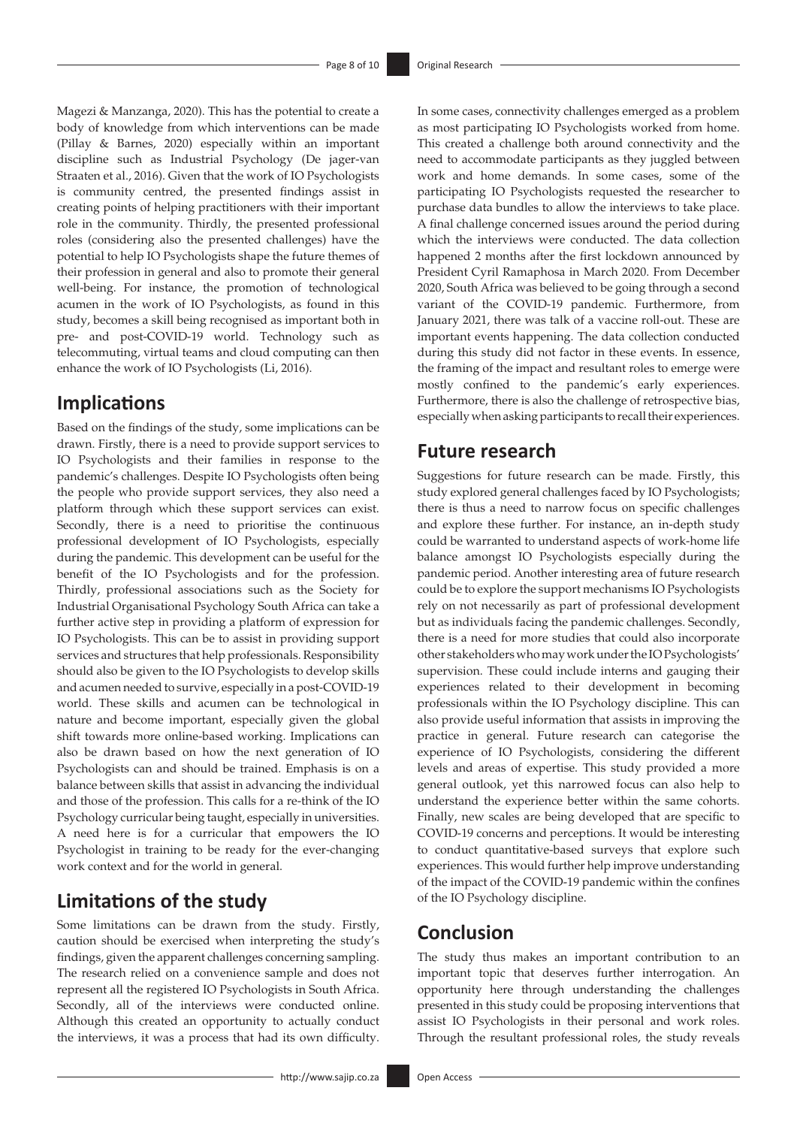Magezi & Manzanga, 2020). This has the potential to create a body of knowledge from which interventions can be made (Pillay & Barnes, 2020) especially within an important discipline such as Industrial Psychology (De jager-van Straaten et al., 2016). Given that the work of IO Psychologists is community centred, the presented findings assist in creating points of helping practitioners with their important role in the community. Thirdly, the presented professional roles (considering also the presented challenges) have the potential to help IO Psychologists shape the future themes of their profession in general and also to promote their general well-being. For instance, the promotion of technological acumen in the work of IO Psychologists, as found in this study, becomes a skill being recognised as important both in pre- and post-COVID-19 world. Technology such as telecommuting, virtual teams and cloud computing can then enhance the work of IO Psychologists (Li, 2016).

# **Implications**

Based on the findings of the study, some implications can be drawn. Firstly, there is a need to provide support services to IO Psychologists and their families in response to the pandemic's challenges. Despite IO Psychologists often being the people who provide support services, they also need a platform through which these support services can exist. Secondly, there is a need to prioritise the continuous professional development of IO Psychologists, especially during the pandemic. This development can be useful for the benefit of the IO Psychologists and for the profession. Thirdly, professional associations such as the Society for Industrial Organisational Psychology South Africa can take a further active step in providing a platform of expression for IO Psychologists. This can be to assist in providing support services and structures that help professionals. Responsibility should also be given to the IO Psychologists to develop skills and acumen needed to survive, especially in a post-COVID-19 world. These skills and acumen can be technological in nature and become important, especially given the global shift towards more online-based working. Implications can also be drawn based on how the next generation of IO Psychologists can and should be trained. Emphasis is on a balance between skills that assist in advancing the individual and those of the profession. This calls for a re-think of the IO Psychology curricular being taught, especially in universities. A need here is for a curricular that empowers the IO Psychologist in training to be ready for the ever-changing work context and for the world in general.

# **Limitations of the study**

Some limitations can be drawn from the study. Firstly, caution should be exercised when interpreting the study's findings, given the apparent challenges concerning sampling. The research relied on a convenience sample and does not represent all the registered IO Psychologists in South Africa. Secondly, all of the interviews were conducted online. Although this created an opportunity to actually conduct the interviews, it was a process that had its own difficulty.

In some cases, connectivity challenges emerged as a problem as most participating IO Psychologists worked from home. This created a challenge both around connectivity and the need to accommodate participants as they juggled between work and home demands. In some cases, some of the participating IO Psychologists requested the researcher to purchase data bundles to allow the interviews to take place. A final challenge concerned issues around the period during which the interviews were conducted. The data collection happened 2 months after the first lockdown announced by President Cyril Ramaphosa in March 2020. From December 2020, South Africa was believed to be going through a second variant of the COVID-19 pandemic. Furthermore, from January 2021, there was talk of a vaccine roll-out. These are important events happening. The data collection conducted during this study did not factor in these events. In essence, the framing of the impact and resultant roles to emerge were mostly confined to the pandemic's early experiences. Furthermore, there is also the challenge of retrospective bias, especially when asking participants to recall their experiences.

# **Future research**

Suggestions for future research can be made. Firstly, this study explored general challenges faced by IO Psychologists; there is thus a need to narrow focus on specific challenges and explore these further. For instance, an in-depth study could be warranted to understand aspects of work-home life balance amongst IO Psychologists especially during the pandemic period. Another interesting area of future research could be to explore the support mechanisms IO Psychologists rely on not necessarily as part of professional development but as individuals facing the pandemic challenges. Secondly, there is a need for more studies that could also incorporate other stakeholders who may work under the IO Psychologists' supervision. These could include interns and gauging their experiences related to their development in becoming professionals within the IO Psychology discipline. This can also provide useful information that assists in improving the practice in general. Future research can categorise the experience of IO Psychologists, considering the different levels and areas of expertise. This study provided a more general outlook, yet this narrowed focus can also help to understand the experience better within the same cohorts. Finally, new scales are being developed that are specific to COVID-19 concerns and perceptions. It would be interesting to conduct quantitative-based surveys that explore such experiences. This would further help improve understanding of the impact of the COVID-19 pandemic within the confines of the IO Psychology discipline.

# **Conclusion**

The study thus makes an important contribution to an important topic that deserves further interrogation. An opportunity here through understanding the challenges presented in this study could be proposing interventions that assist IO Psychologists in their personal and work roles. Through the resultant professional roles, the study reveals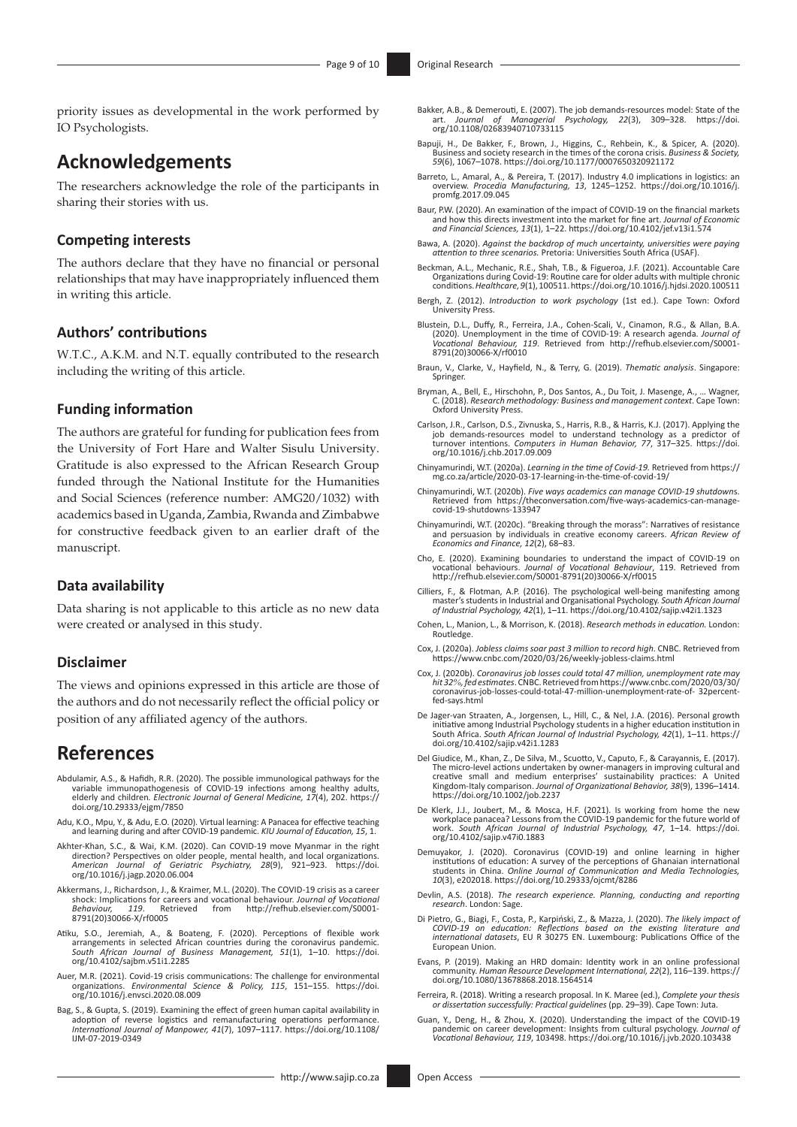priority issues as developmental in the work performed by IO Psychologists.

# **Acknowledgements**

The researchers acknowledge the role of the participants in sharing their stories with us.

### **Competing interests**

The authors declare that they have no financial or personal relationships that may have inappropriately influenced them in writing this article.

### **Authors' contributions**

W.T.C., A.K.M. and N.T. equally contributed to the research including the writing of this article.

### **Funding information**

The authors are grateful for funding for publication fees from the University of Fort Hare and Walter Sisulu University. Gratitude is also expressed to the African Research Group funded through the National Institute for the Humanities and Social Sciences (reference number: AMG20/1032) with academics based in Uganda, Zambia, Rwanda and Zimbabwe for constructive feedback given to an earlier draft of the manuscript.

### **Data availability**

Data sharing is not applicable to this article as no new data were created or analysed in this study.

### **Disclaimer**

The views and opinions expressed in this article are those of the authors and do not necessarily reflect the official policy or position of any affiliated agency of the authors.

## **References**

- Abdulamir, A.S., & Hafidh, R.R. (2020). The possible immunological pathways for the variable immunopathogenesis of COVID-19 infections among healthy adults elderly and children*. Electronic Journal of General Medicine, 17*(4), 202. [https://](https://doi.org/10.29333/ejgm/7850) [doi.org/10.29333/ejgm/7850](https://doi.org/10.29333/ejgm/7850)
- Adu, K.O., Mpu, Y., & Adu, E.O. (2020). Virtual learning: A Panacea for effective teaching and learning during and after COVID-19 pandemic. *KIU Journal of Education, 15*, 1.
- Akhter-Khan, S.C., & Wai, K.M. (2020). Can COVID-19 move Myanmar in the right direction? Perspectives on older people, mental health, and local organizations. *American Journal of Geriatric Psychiatry, 28*(9), 921–923. [https://doi.](https://doi.org/10.1016/j.jagp.2020.06.004) [org/10.1016/j.jagp.2020.06.004](https://doi.org/10.1016/j.jagp.2020.06.004)
- Akkermans, J., Richardson, J., & Kraimer, M.L. (2020). The COVID-19 crisis as a career<br>shock: Implications for careers and vocational behaviour. Journal of Vocational<br>Behaviour, 119. Retrieved from http://refhub.elsevier.c
- Atiku, S.O., Jeremiah, A., & Boateng, F. (2020). Perceptions of flexible work arrangements in selected African countries during the coronavirus pandemic. *South African Journal of Business Management, 51*(1), 1–10. [https://doi.](https://doi.org/10.4102/sajbm.v51i1.2285) [org/10.4102/sajbm.v51i1.2285](https://doi.org/10.4102/sajbm.v51i1.2285)
- Auer, M.R. (2021). Covid-19 crisis communications: The challenge for environmental organizations. *Environmental Science & Policy, 115*, 151–155. [https://doi.](https://doi.org/10.1016/j.envsci.2020.08.009) [org/10.1016/j.envsci.2020.08.009](https://doi.org/10.1016/j.envsci.2020.08.009)
- Bag, S., & Gupta, S. (2019). Examining the effect of green human capital availability in adoption of reverse logistics and remanufacturing operations performance. *International Journal of Manpower, 41*(7), 1097–1117. [https://doi.org/10.1108/](https://doi.org/10.1108/IJM-07-2019-0349) [IJM-07-2019-0349](https://doi.org/10.1108/IJM-07-2019-0349)
- Bakker, A.B., & Demerouti, E. (2007). The job demands-resources model: [State of the](https://doi.org/10.1108/02683940710733115) art. *Journal of Nanagerial Psychology, 22*(3), 309–328. https://doi.<br>[org/10.1108/02683940710733115](https://doi.org/10.1108/02683940710733115)
- Bapuji, H., De Bakker, F., Brown, J., Higgins, C., Rehbein, K., & Spicer, A. (2020). Business and society research in the times of the corona crisis. *Business & Society, 59*(6), 1067–1078. <https://doi.org/10.1177/0007650320921172>
- Barreto, L., Amaral, A., & Pereira, T. (2017). Industry 4.0 implications in logistics: an overview. *Procedia Manufacturing, 13*, 1245–1252. [https://doi.org/10.1016/j.](https://doi.org/10.1016/j.promfg.2017.09.045) [promfg.2017.09.045](https://doi.org/10.1016/j.promfg.2017.09.045)
- Baur, P.W. (2020). An examination of the impact of COVID-19 on the financial markets and how this directs investment into the market for fine art. *Journal of Economic and Financial Sciences, 13*(1), 1–22.<https://doi.org/10.4102/jef.v13i1.574>
- Bawa, A. (2020). *Against the backdrop of much uncertainty, universities were paying attention to three scenarios.* Pretoria: Universities South Africa (USAF).
- Beckman, A.L., Mechanic, R.E., Shah, T.B., & Figueroa, J.F. (2021). Accountable Care<br>Organizations during Covid-19: Routine care for older adults with multiple chronic<br>conditions. Healthcare, 9(1), 100511. https://doi.org/
- Bergh, Z. (2012). *Introduction to work psychology* (1st ed.). Cape Town: Oxford University Press.
- Blustein, D.L., Duffy, R., Ferreira, J.A., Cohen-Scali, V., Cinamon, R.G., & Allan, B.A. (2020). Unemployment in the time of COVID-19: A research agenda. *Journal of Vocational Behaviour, 119*. Retrieved from [http://refhub.elsevier.com/S0001-](http://refhub.elsevier.com/S0001-8791(20)30066-X/rf0010) [8791\(20\)30066-X/rf0010](http://refhub.elsevier.com/S0001-8791(20)30066-X/rf0010)
- Braun, V., Clarke, V., Hayfield, N., & Terry, G. (2019). *Thematic analysis*. Singapore: Springer.
- Bryman, A., Bell, E., Hirschohn, P., Dos Santos, A., Du Toit, J. Masenge, A., … Wagner, C. (2018). *Research methodology: Business and management context*. Cape Town: Oxford University Press.
- Carlson, J.R., Carlson, D.S., Zivnuska, S., Harris, R.B., & Harris, K.J. (2017). Applying the job demands-resources model to understand technology as a predictor of turnover intentions. *Computers in Human Behavior, 77*, 317–325. [https://doi.](https://doi.org/10.1016/j.chb.2017.09.009) [org/10.1016/j.chb.2017.09.009](https://doi.org/10.1016/j.chb.2017.09.009)
- Chinyamurindi, W.T. (2020a). *Learning in the time of Covid-19.* Retrieved from [https://](https://mg.co.za/article/2020-03-17-learning-in-the-time-of-covid-19/) [mg.co.za/article/2020-03-17-learning-in-the-time-of-covid-19/](https://mg.co.za/article/2020-03-17-learning-in-the-time-of-covid-19/)
- Chinyamurindi, W.T. (2020b). *Five ways academics can manage COVID-19 shutdown*[s.](https://theconversation.com/five-ways-academics-can-manage-covid-19-shutdowns-133947) Retrieved from [https://theconversation.com/five-ways-academics-can-manage](https://theconversation.com/five-ways-academics-can-manage-covid-19-shutdowns-133947)[covid-19-shutdowns-133947](https://theconversation.com/five-ways-academics-can-manage-covid-19-shutdowns-133947)
- Chinyamurindi, W.T. (2020c). "Breaking through the morass": Narratives of resistance and persuasion by individuals in creative economy careers. *African Review of Economics and Finance, 12*(2), 68–83.
- Cho, E. (2020). Examining boundaries to understand the impact of COVID-19 on vocational behaviours. *Journal of Vocational Behaviour*, 119. Retrieved from [http://refhub.elsevier.com/S0001-8791\(20\)30066-X/rf0015](http://refhub.elsevier.com/S0001-8791(20)30066-X/rf0015)
- Cilliers, F., & Flotman, A.P. (2016). The psychological well-being manifesting among<br>master's students in Industrial and Organisational Psychology. South African Journal<br>of Industrial Psychology, 42(1), 1-11. https://doi.o
- Cohen, L., Manion, L., & Morrison, K. (2018). *Research methods in education.* London: Routledge.
- Cox, J. (2020a). *Jobless claims soar past 3 million to record high*. CNBC. Retrieved from <https://www.cnbc.com/2020/03/26/weekly-jobless-claims.html>
- Cox, J. (2020b). *Coronavirus job losses could total 47 million, unemployment rate may hit 32%, fed estimates*. CNBC. Retrieved from [https://www.cnbc.com/2020/03/30/](https://www.cnbc.com/2020/03/30/coronavirus-job-losses-could-total-47-million-unemployment-rate-of-) [coronavirus-job-losses-could-total-47-million-unemployment-rate-of-](https://www.cnbc.com/2020/03/30/coronavirus-job-losses-could-total-47-million-unemployment-rate-of-) 32percentfed-says.html
- De Jager-van Straaten, A., Jorgensen, L., Hill, C., & Nel, J.A. (2016). Personal growth initiative among Industrial Psychology students in a higher education institution in South Africa. *South African Journal of Industrial Psychology, 42*(1), 1–11. [https://](https://doi.org/10.4102/sajip.v42i1.1283) [doi.org/10.4102/sajip.v42i1.1283](https://doi.org/10.4102/sajip.v42i1.1283)
- Del Giudice, M., Khan, Z., De Silva, M., Scuotto, V., Caputo, F., & Carayannis, E. (2017). The micro-level actions undertaken by owner-managers in improving cultural and<br>creative small and medium enterprises' sustainability practices: A United<br>Kingdom-Italy comparison. Journal of Organizational Behavior, 38(9), <https://doi.org/10.1002/job.2237>
- De Klerk, J.J., Joubert, M., & Mosca, H.F. (2021). Is working from home the new workplace panacea? Lessons from the COVID-19 pandemic for the future world of work. *South African Journal of Industrial Psychology, 47*, 1–14. [https://doi.](https://doi.org/10.4102/sajip.v47i0.1883) [org/10.4102/sajip.v47i0.1883](https://doi.org/10.4102/sajip.v47i0.1883)
- Demuyakor, J. (2020). Coronavirus (COVID-19) and online learning in higher institutions of education: A survey of the perceptions of Ghanaian international<br>students in China. *Online Journal of Communication and Media Technologies,*<br>10(3), e202018.<https://doi.org/10.29333/ojcmt/8286>
- Devlin, A.S. (2018). *The research experience. Planning, conducting and reporting research*. London: Sage.
- Di Pietro, G., Biagi, F., Costa, P., Karpiński, Z., & Mazza, J. (2020). *The likely impact of COVID-19 on education: Reflections based on the existing literature and international datasets*, EU R 30275 EN. Luxembourg: Publications Office of the European Union.
- Evans, P. (2019). Making an HRD domain: Identity work in an online professional community. *Human Resource Development International, 22*(2), 116–139. [https://](https://doi.org/10.1080/13678868.2018.1564514) [doi.org/10.1080/13678868.2018.1564514](https://doi.org/10.1080/13678868.2018.1564514)
- Ferreira, R. (2018). Writing a research proposal. In K. Maree (ed.), *Complete your thesis or dissertation successfully: Practical guidelines* (pp. 29–39). Cape Town: Juta.
- Guan, Y., Deng, H., & Zhou, X. (2020). Understanding the impact of the COVID-19<br>pandemic on career development: Insights from cultural psychology. Journal of<br>Vocational Behaviour, 119, 103498. https://doi.org/10.1016/j.jvb